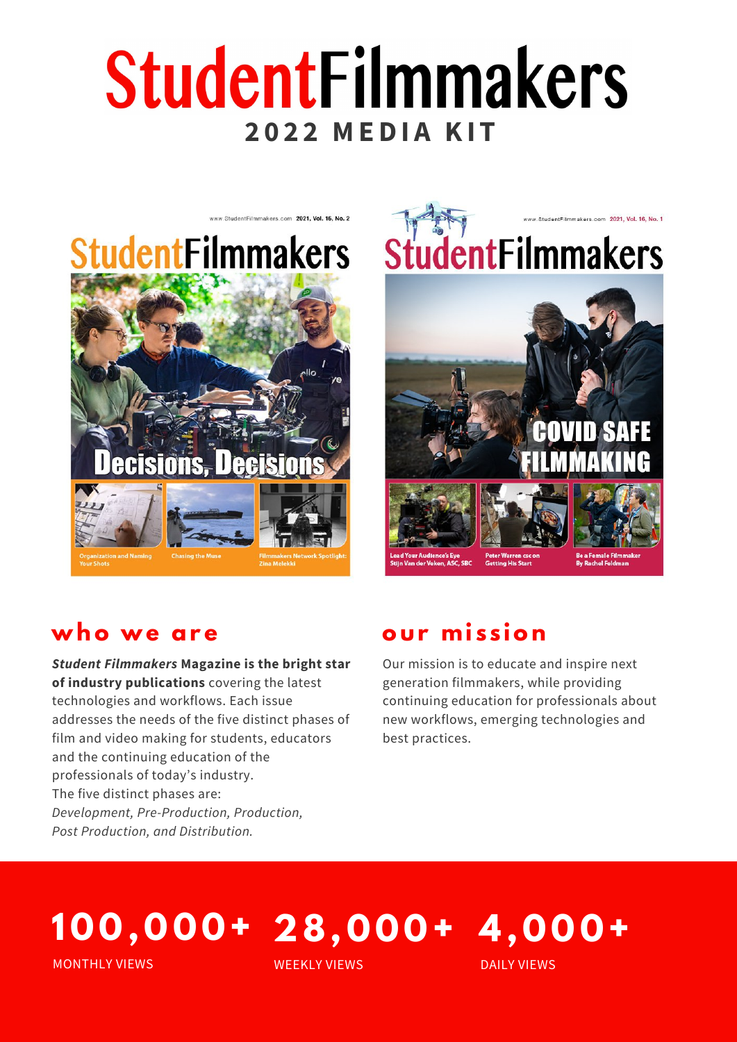## StudentFilmmakers **2 0 2 2 MEDI A KI T**



# **StudentFilmmakers**



### **who we are**

*Student Filmmakers* **Magazine is the bright star of industry publications** covering the latest technologies and workflows. Each issue addresses the needs of the five distinct phases of film and video making for students, educators and the continuing education of the professionals of today's industry. The five distinct phases are: *Development, Pre-Production, Production, Post Production, and Distribution.*

### **our mi s s ion**

Our mission is to educate and inspire next generation filmmakers, while providing continuing education for professionals about new workflows, emerging technologies and best practices.

## **1 0 0 , 0 0 0 + 4, 0 0 0 + 28, 0 0 0 +**

MONTHLY VIEWS

WEEKLY VIEWS

DAILY VIEWS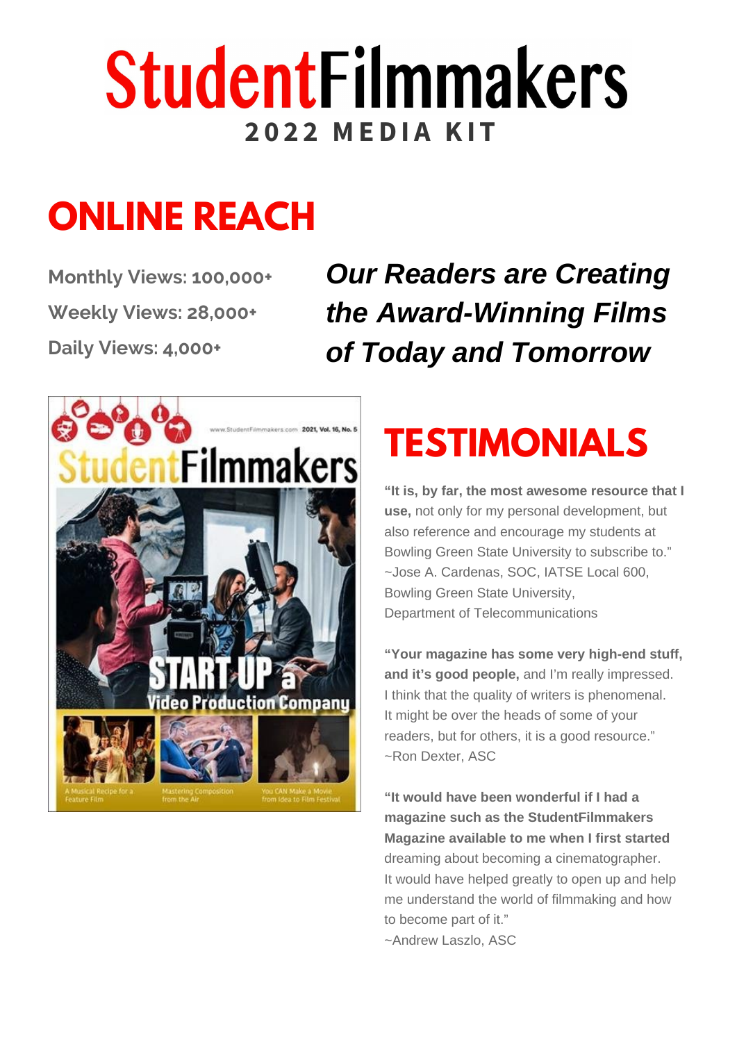## **StudentFilmmakers 2 0 2 2 MEDI A KI T**

## **ONLINE REACH**

**Monthly Views: 100,000+ Weekly Views: 28,000+ Daily Views: 4,000+**

*Our Readers are Creating the Award-Winning Films of Today and Tomorrow*



## **TESTIMONIALS**

**"It is, by far, the most awesome resource that I use,** not only for my personal development, but also reference and encourage my students at Bowling Green State University to subscribe to. " ~Jose A. Cardenas, SOC, IATSE Local 600, Bowling Green State University, Department of Telecommunications

**"Your magazine has some very high-end stuff, and it's good people,** and I'm really impressed. I think that the quality of writers is phenomenal. It might be over the heads of some of your readers, but for others, it is a good resource. " ~Ron Dexter, ASC

**"It would have been wonderful if I had a magazine such as the StudentFilmmakers Magazine available to me when I first started** dreaming about becoming a cinematographer. It would have helped greatly to open up and help me understand the world of filmmaking and how to become part of it. " ~Andrew Laszlo, ASC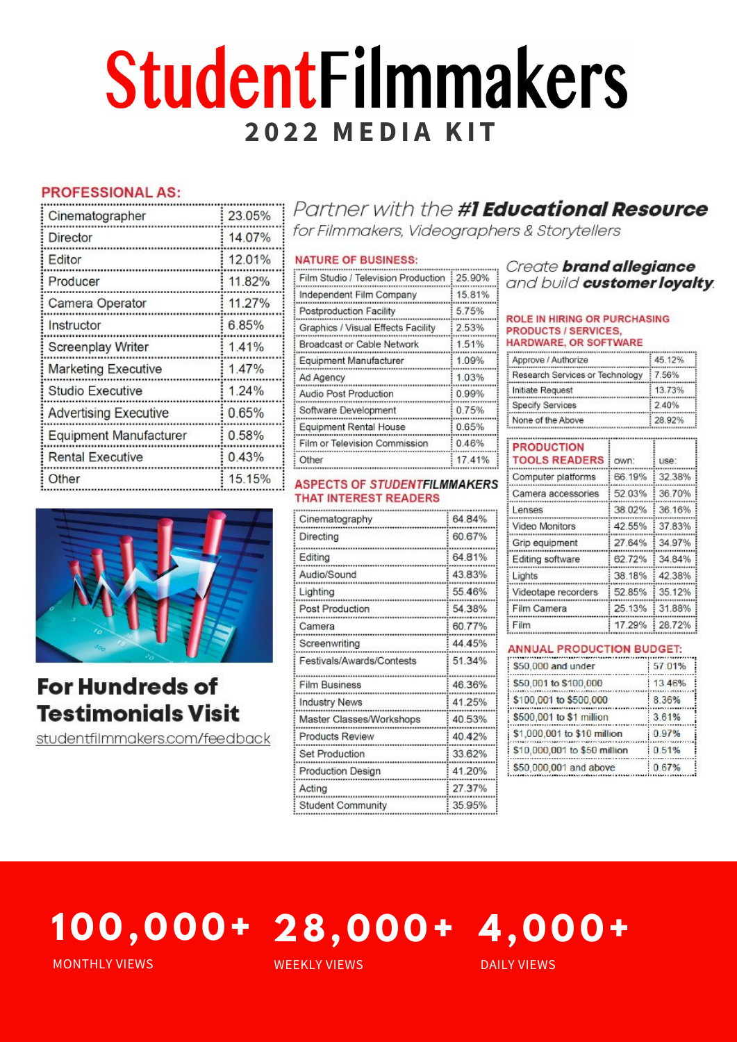## **StudentFilmmakers 2 0 2 2 MEDI A KI T**

#### **PROFESSIONAL AS:**

| Cinematographer               | 23.05% |
|-------------------------------|--------|
| Director                      | 14.07% |
| Editor                        | 12.01% |
| Producer                      | 11.82% |
| Camera Operator               | 11.27% |
| Instructor                    | 6.85%  |
| <b>Screenplay Writer</b>      | 1.41%  |
| <b>Marketing Executive</b>    | 1.47%  |
| Studio Executive              | 1.24%  |
| <b>Advertising Executive</b>  | 0.65%  |
| <b>Equipment Manufacturer</b> | 0.58%  |
| <b>Rental Executive</b>       | 0.43%  |
| Other                         | 15 15% |

#### 15.81% Independent Film Company Postproduction Facility 5.75% Graphics / Visual Effects Facility 2.53% Proadcost or Cable Network  $1.5102$

Film Studio / Television Production

**NATURE OF BUSINESS:** 

| bluauudat ul udule ivetwurk   | $\sim$ $\sim$ $\sim$ $\sim$ |
|-------------------------------|-----------------------------|
| Equipment Manufacturer        | 1.09%                       |
| Ad Agency                     | 1.03%                       |
| Audio Post Production         | 0.99%                       |
| Software Development          | 0.75%                       |
| <b>Equipment Rental House</b> | 0.65%                       |
| Film or Television Commission | 0.46%                       |
| Other                         | 17.41%                      |

#### **ASPECTS OF STUDENTFILMMAKERS THAT INTEREST READERS**

| Cinematography            | 64.84% |
|---------------------------|--------|
| Directing                 | 60.67% |
| Editing                   | 64.81% |
| Audio/Sound               | 43.83% |
| Lighting                  | 55.46% |
| Post Production           | 54.38% |
| Camera                    | 60.77% |
| Screenwriting             | 44.45% |
| Festivals/Awards/Contests | 51 34% |
| <b>Film Business</b>      | 46.36% |
| <b>Industry News</b>      | 41.25% |
| Master Classes/Workshops  | 40.53% |
| <b>Products Review</b>    | 40 42% |
| <b>Set Production</b>     | 33 62% |
| <b>Production Design</b>  | 41.20% |
| Acting                    | 27.37% |
| <b>Student Community</b>  | 35.95% |

#### Create brand allegiance and build customer loyalty.

#### **ROLE IN HIRING OR PURCHASING PRODUCTS / SERVICES, HARDWARE, OR SOFTWARE**

Partner with the #1 Educational Resource

for Filmmakers, Videographers & Storytellers

25.90%

| Approve / Authorize             | 45.12% |
|---------------------------------|--------|
| Research Services or Technology | 7.56%  |
| Initiate Request                | 13.73% |
| Specify Services                | 2.40%  |
| None of the Above               | 28.92% |

| <b>PRODUCTION</b><br><b>TOOLS READERS</b> | OWN:   | use:   |
|-------------------------------------------|--------|--------|
| Computer platforms                        | 66.19% | 32.38% |
| Camera accessories                        | 52 03% | 36 70% |
| Lenses                                    | 38.02% | 36 16% |
| Video Monitors                            | 42 55% | 37.83% |
| Grip equipment                            | 27.64% | 34.97% |
| Editing software                          | 62.72% | 34.84% |
| Lights                                    | 38.18% | 42.38% |
| Videotape recorders                       | 52.85% | 35.12% |
| Film Camera                               | 25.13% | 31.88% |
| Film                                      | 17 29% | 28 72% |

#### **ANNUAL PRODUCTION BUDGET:**

| \$50,000 and under           | 57.01% |
|------------------------------|--------|
| \$50,001 to \$100,000        | 13.46% |
| \$100,001 to \$500,000       | 8.36%  |
| \$500,001 to \$1 million     | 3.61%  |
| \$1,000,001 to \$10 million  | 0.97%  |
| \$10,000,001 to \$50 million | 0.51%  |
| \$50,000,001 and above       | 0.67%  |

## **1 0 0 , 0 0 0 + 4, 0 0 0 + 28, 0 0 0 +**

MONTHLY VIEWS

**For Hundreds of** 

**Testimonials Visit** 

studentfilmmakers.com/feedback

WEEKLY VIEWS

DAILY VIEWS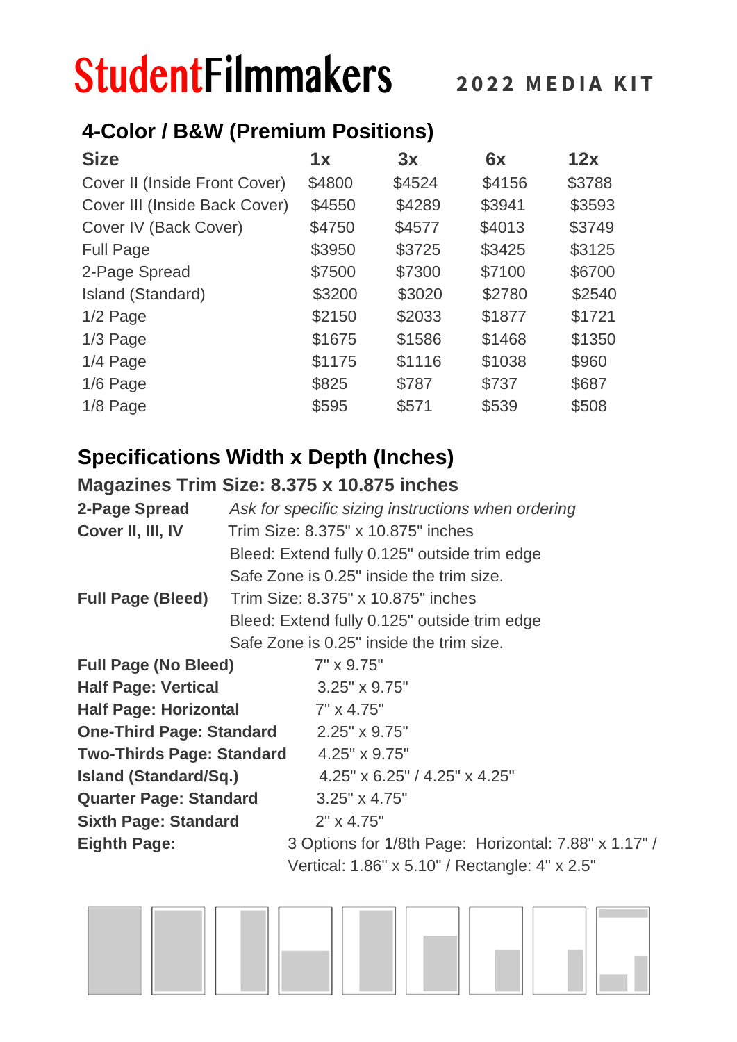## **StudentFilmmakers**

### **4-Color / B&W (Premium Positions)**

| <b>Size</b>                   | 1x     | 3x     | 6x     | 12x    |
|-------------------------------|--------|--------|--------|--------|
| Cover II (Inside Front Cover) | \$4800 | \$4524 | \$4156 | \$3788 |
| Cover III (Inside Back Cover) | \$4550 | \$4289 | \$3941 | \$3593 |
| Cover IV (Back Cover)         | \$4750 | \$4577 | \$4013 | \$3749 |
| <b>Full Page</b>              | \$3950 | \$3725 | \$3425 | \$3125 |
| 2-Page Spread                 | \$7500 | \$7300 | \$7100 | \$6700 |
| Island (Standard)             | \$3200 | \$3020 | \$2780 | \$2540 |
| 1/2 Page                      | \$2150 | \$2033 | \$1877 | \$1721 |
| 1/3 Page                      | \$1675 | \$1586 | \$1468 | \$1350 |
| 1/4 Page                      | \$1175 | \$1116 | \$1038 | \$960  |
| 1/6 Page                      | \$825  | \$787  | \$737  | \$687  |
| 1/8 Page                      | \$595  | \$571  | \$539  | \$508  |

### **Specifications Width x Depth (Inches)**

### **Magazines Trim Size: 8.375 x 10.875 inches**

| 2-Page Spread                    | Ask for specific sizing instructions when ordering    |  |  |
|----------------------------------|-------------------------------------------------------|--|--|
| Cover II, III, IV                | Trim Size: 8.375" x 10.875" inches                    |  |  |
|                                  | Bleed: Extend fully 0.125" outside trim edge          |  |  |
|                                  | Safe Zone is 0.25" inside the trim size.              |  |  |
| <b>Full Page (Bleed)</b>         | Trim Size: 8.375" x 10.875" inches                    |  |  |
|                                  | Bleed: Extend fully 0.125" outside trim edge          |  |  |
|                                  | Safe Zone is 0.25" inside the trim size.              |  |  |
| <b>Full Page (No Bleed)</b>      | 7" x 9.75"                                            |  |  |
| <b>Half Page: Vertical</b>       | $3.25'' \times 9.75''$                                |  |  |
| <b>Half Page: Horizontal</b>     | $7" \times 4.75"$                                     |  |  |
| <b>One-Third Page: Standard</b>  | $2.25" \times 9.75"$                                  |  |  |
| <b>Two-Thirds Page: Standard</b> | $4.25" \times 9.75"$                                  |  |  |
| <b>Island (Standard/Sq.)</b>     | $4.25" \times 6.25" / 4.25" \times 4.25"$             |  |  |
| <b>Quarter Page: Standard</b>    | $3.25" \times 4.75"$                                  |  |  |
| <b>Sixth Page: Standard</b>      | $2" \times 4.75"$                                     |  |  |
| <b>Eighth Page:</b>              | 3 Options for 1/8th Page: Horizontal: 7.88" x 1.17" / |  |  |
|                                  | Vertical: 1.86" x 5.10" / Rectangle: 4" x 2.5"        |  |  |

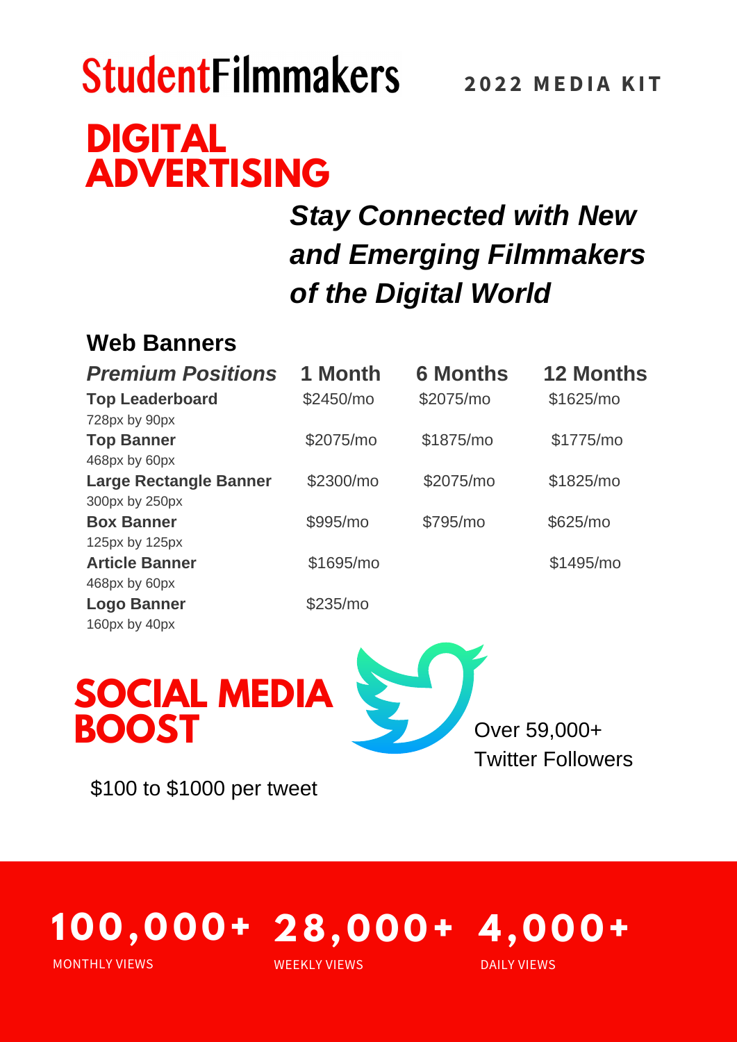## **StudentFilmmakers DIGITAL ADVERTISING**

### **2 0 2 2 MEDI A KI T**

### *Stay Connected with New and Emerging Filmmakers of the Digital World*

### **Web Banners**

| <b>Premium Positions</b>      | 1 Month   | <b>6 Months</b> | <b>12 Months</b> |
|-------------------------------|-----------|-----------------|------------------|
| <b>Top Leaderboard</b>        | \$2450/mo | \$2075/mo       | \$1625/mo        |
| 728px by 90px                 |           |                 |                  |
| <b>Top Banner</b>             | \$2075/mo | \$1875/mo       | \$1775/mo        |
| 468px by 60px                 |           |                 |                  |
| <b>Large Rectangle Banner</b> | \$2300/mo | \$2075/mo       | \$1825/mo        |
| 300px by 250px                |           |                 |                  |
| <b>Box Banner</b>             | \$995/mo  | \$795/mo        | \$625/mo         |
| 125px by 125px                |           |                 |                  |
| <b>Article Banner</b>         | \$1695/mo |                 | \$1495/mo        |
| 468px by 60px                 |           |                 |                  |
| <b>Logo Banner</b>            | \$235/mo  |                 |                  |
| 160px by 40px                 |           |                 |                  |



\$100 to \$1000 per tweet

#### **1 0 0 , 0 0 0 + 4, 0 0 0 + 28, 0 0 0 +** MONTHLY VIEWS DAILY VIEWS WEEKLY VIEWS